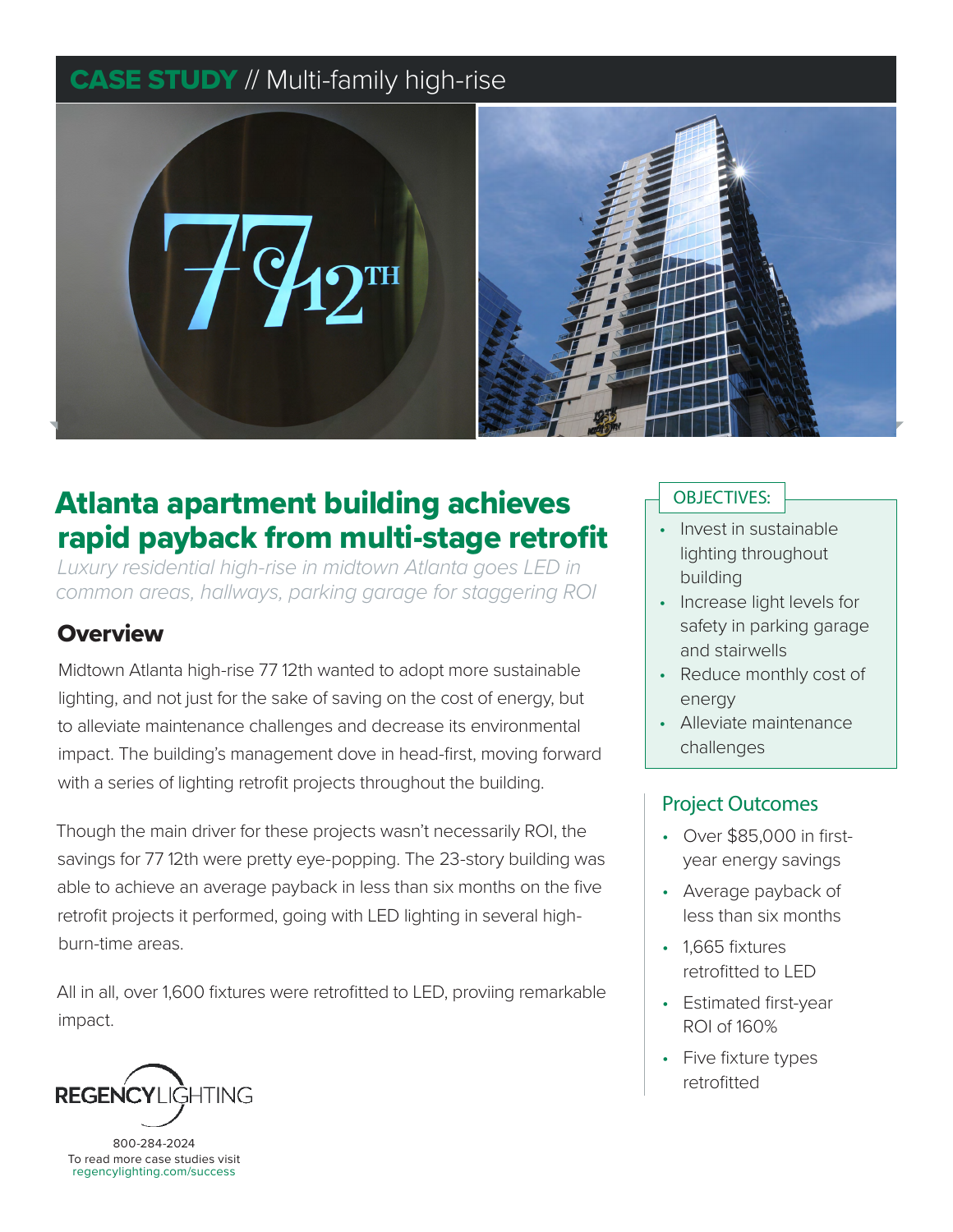## **CASE STUDY // Multi-family high-rise**



# Atlanta apartment building achieves rapid payback from multi-stage retrofit

*Luxury residential high-rise in midtown Atlanta goes LED in common areas, hallways, parking garage for staggering ROI*

## **Overview**

Midtown Atlanta high-rise 77 12th wanted to adopt more sustainable lighting, and not just for the sake of saving on the cost of energy, but to alleviate maintenance challenges and decrease its environmental impact. The building's management dove in head-first, moving forward with a series of lighting retrofit projects throughout the building.

Though the main driver for these projects wasn't necessarily ROI, the savings for 77 12th were pretty eye-popping. The 23-story building was able to achieve an average payback in less than six months on the five retrofit projects it performed, going with LED lighting in several highburn-time areas.

All in all, over 1,600 fixtures were retrofitted to LED, proviing remarkable impact.



800-284-2024 To read more case studies visit regencylighting.com/success

#### OBJECTIVES:

- Invest in sustainable lighting throughout building
- Increase light levels for safety in parking garage and stairwells
- Reduce monthly cost of energy
- Alleviate maintenance challenges

#### Project Outcomes

- Over \$85,000 in firstyear energy savings
- Average payback of less than six months
- 1.665 fixtures retrofitted to LED
- Estimated first-year ROI of 160%
- Five fixture types retrofitted